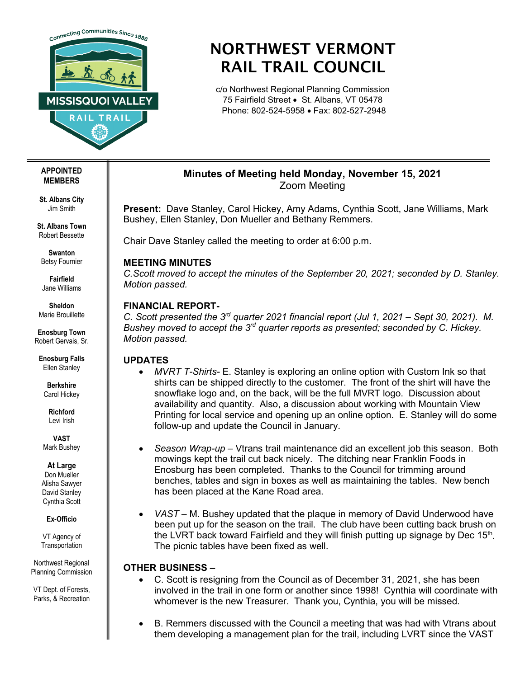

# NORTHWEST VERMONT RAIL TRAIL COUNCIL

c/o Northwest Regional Planning Commission 75 Fairfield Street • St. Albans, VT 05478 Phone: 802-524-5958 • Fax: 802-527-2948

# **Minutes of Meeting held Monday, November 15, 2021** Zoom Meeting

**Present:** Dave Stanley, Carol Hickey, Amy Adams, Cynthia Scott, Jane Williams, Mark Bushey, Ellen Stanley, Don Mueller and Bethany Remmers.

Chair Dave Stanley called the meeting to order at 6:00 p.m.

## **MEETING MINUTES**

*C.Scott moved to accept the minutes of the September 20, 2021; seconded by D. Stanley. Motion passed.* 

## **FINANCIAL REPORT-**

*C. Scott presented the 3rd quarter 2021 financial report (Jul 1, 2021 – Sept 30, 2021). M. Bushey moved to accept the 3rd quarter reports as presented; seconded by C. Hickey. Motion passed.*

## **UPDATES**

- *MVRT T-Shirts-* E. Stanley is exploring an online option with Custom Ink so that shirts can be shipped directly to the customer. The front of the shirt will have the snowflake logo and, on the back, will be the full MVRT logo. Discussion about availability and quantity. Also, a discussion about working with Mountain View Printing for local service and opening up an online option. E. Stanley will do some follow-up and update the Council in January.
- *Season Wrap-up –* Vtrans trail maintenance did an excellent job this season. Both mowings kept the trail cut back nicely. The ditching near Franklin Foods in Enosburg has been completed. Thanks to the Council for trimming around benches, tables and sign in boxes as well as maintaining the tables. New bench has been placed at the Kane Road area.
- *VAST –* M. Bushey updated that the plaque in memory of David Underwood have been put up for the season on the trail. The club have been cutting back brush on the LVRT back toward Fairfield and they will finish putting up signage by Dec  $15<sup>th</sup>$ . The picnic tables have been fixed as well.

## **OTHER BUSINESS –**

- C. Scott is resigning from the Council as of December 31, 2021, she has been involved in the trail in one form or another since 1998! Cynthia will coordinate with whomever is the new Treasurer. Thank you, Cynthia, you will be missed.
- B. Remmers discussed with the Council a meeting that was had with Vtrans about them developing a management plan for the trail, including LVRT since the VAST

#### **APPOINTED MEMBERS**

**St. Albans City** Jim Smith

**St. Albans Town** Robert Bessette

**Swanton** Betsy Fournier

**Fairfield** Jane Williams

**Sheldon** Marie Brouillette

**Enosburg Town** Robert Gervais, Sr.

**Enosburg Falls** Ellen Stanley

**Berkshire** Carol Hickey

**Richford** Levi Irish

**VAST** Mark Bushey

#### **At Large**

Don Mueller Alisha Sawyer David Stanley Cynthia Scott

**Ex-Officio**

VT Agency of **Transportation** 

Northwest Regional Planning Commission

VT Dept. of Forests, Parks, & Recreation